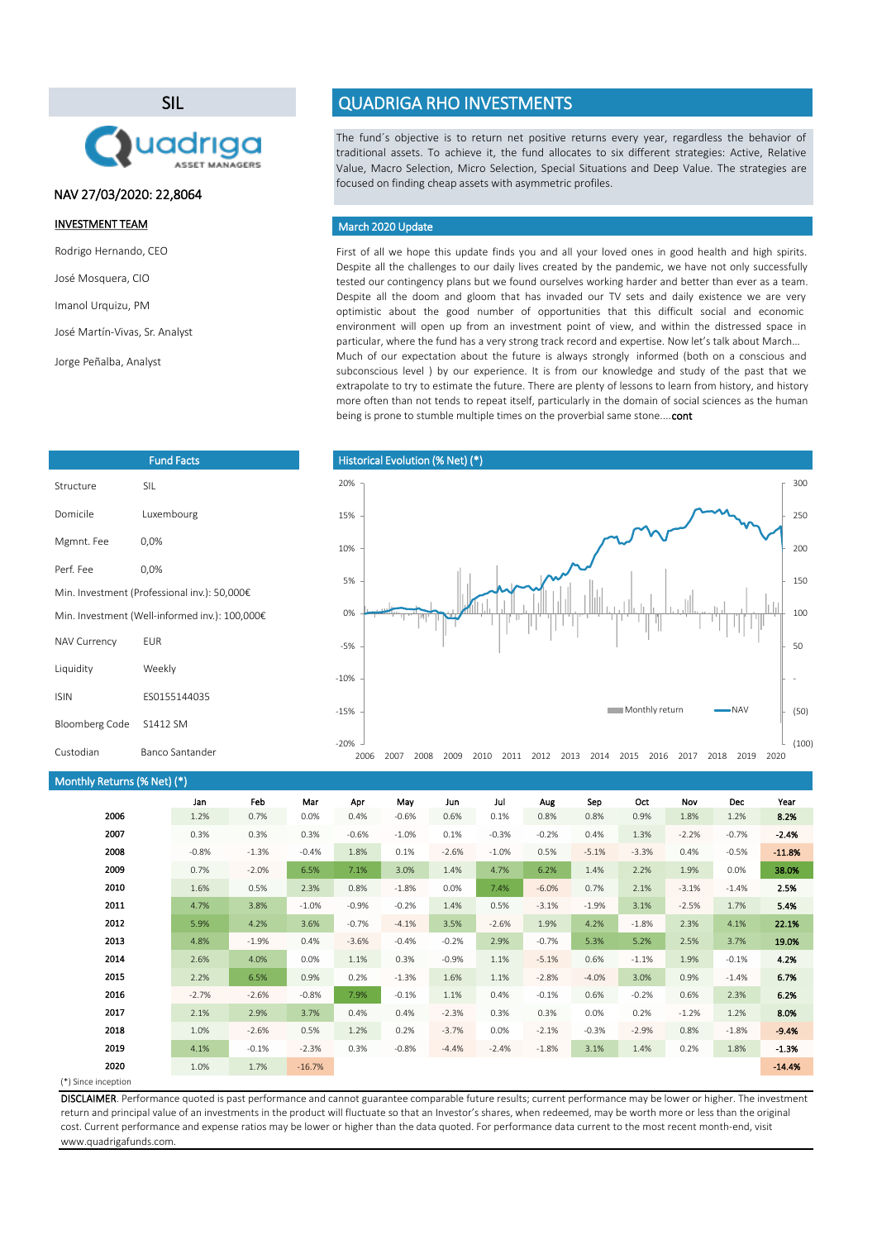SIL



Fund Facts

## NAV 27/03/2020: 22,8064

### INVESTMENT TEAM

Rodrigo Hernando, CEO

José Mosquera, CIO

Imanol Urquizu, PM

```
José Martín-Vivas, Sr. Analyst
```
Jorge Peñalba, Analyst

Structure SIL

Mgmnt. Fee 0,0% Perf. Fee 0,0%

NAV Currency EUR Liquidity Weekly

Domicile Luxembourg

Min. Investment (Professional inv.): 50,000€ Min. Investment (Well-informed inv.): 100,000€

# QUADRIGA RHO INVESTMENTS

The fund´s objective is to return net positive returns every year, regardless the behavior of traditional assets. To achieve it, the fund allocates to six different strategies: Active, Relative Value, Macro Selection, Micro Selection, Special Situations and Deep Value. The strategies are focused on finding cheap assets with asymmetric profiles.

### March 2020 Update

First of all we hope this update finds you and all your loved ones in good health and high spirits. Despite all the challenges to our daily lives created by the pandemic, we have not only successfully tested our contingency plans but we found ourselves working harder and better than ever as a team. Despite all the doom and gloom that has invaded our TV sets and daily existence we are very optimistic about the good number of opportunities that this difficult social and economic environment will open up from an investment point of view, and within the distressed space in particular, where the fund has a very strong track record and expertise. Now let's talk about March… Much of our expectation about the future is always strongly informed (both on a conscious and subconscious level ) by our experience. It is from our knowledge and study of the past that we extrapolate to try to estimate the future. There are plenty of lessons to learn from history, and history more often than not tends to repeat itself, particularly in the domain of social sciences as the human being is prone to stumble multiple times on the proverbial same stone....cont



### Monthly Returns (% Net) (\*)

Bloomberg Code S1412 SM

ISIN ES0155144035

Custodian Banco Santander

| Jan     | Feb     | Mar      | Apr     | May     | Jun     | Jul     | Aug     | Sep     | Oct     | Nov     | <b>Dec</b> | Year     |
|---------|---------|----------|---------|---------|---------|---------|---------|---------|---------|---------|------------|----------|
| 1.2%    | 0.7%    | 0.0%     | 0.4%    | $-0.6%$ | 0.6%    | 0.1%    | 0.8%    | 0.8%    | 0.9%    | 1.8%    | 1.2%       | 8.2%     |
| 0.3%    | 0.3%    | 0.3%     | $-0.6%$ | $-1.0%$ | 0.1%    | $-0.3%$ | $-0.2%$ | 0.4%    | 1.3%    | $-2.2%$ | $-0.7%$    | $-2.4%$  |
| $-0.8%$ | $-1.3%$ | $-0.4%$  | 1.8%    | 0.1%    | $-2.6%$ | $-1.0%$ | 0.5%    | $-5.1%$ | $-3.3%$ | 0.4%    | $-0.5%$    | $-11.8%$ |
| 0.7%    | $-2.0%$ | 6.5%     | 7.1%    | 3.0%    | 1.4%    | 4.7%    | 6.2%    | 1.4%    | 2.2%    | 1.9%    | 0.0%       | 38.0%    |
| 1.6%    | 0.5%    | 2.3%     | 0.8%    | $-1.8%$ | 0.0%    | 7.4%    | $-6.0%$ | 0.7%    | 2.1%    | $-3.1%$ | $-1.4%$    | 2.5%     |
| 4.7%    | 3.8%    | $-1.0%$  | $-0.9%$ | $-0.2%$ | 1.4%    | 0.5%    | $-3.1%$ | $-1.9%$ | 3.1%    | $-2.5%$ | 1.7%       | 5.4%     |
| 5.9%    | 4.2%    | 3.6%     | $-0.7%$ | $-4.1%$ | 3.5%    | $-2.6%$ | 1.9%    | 4.2%    | $-1.8%$ | 2.3%    | 4.1%       | 22.1%    |
| 4.8%    | $-1.9%$ | 0.4%     | $-3.6%$ | $-0.4%$ | $-0.2%$ | 2.9%    | $-0.7%$ | 5.3%    | 5.2%    | 2.5%    | 3.7%       | 19.0%    |
| 2.6%    | 4.0%    | 0.0%     | 1.1%    | 0.3%    | $-0.9%$ | 1.1%    | $-5.1%$ | 0.6%    | $-1.1%$ | 1.9%    | $-0.1%$    | 4.2%     |
| 2.2%    | 6.5%    | 0.9%     | 0.2%    | $-1.3%$ | 1.6%    | 1.1%    | $-2.8%$ | $-4.0%$ | 3.0%    | 0.9%    | $-1.4%$    | 6.7%     |
| $-2.7%$ | $-2.6%$ | $-0.8%$  | 7.9%    | $-0.1%$ | 1.1%    | 0.4%    | $-0.1%$ | 0.6%    | $-0.2%$ | 0.6%    | 2.3%       | 6.2%     |
| 2.1%    | 2.9%    | 3.7%     | 0.4%    | 0.4%    | $-2.3%$ | 0.3%    | 0.3%    | 0.0%    | 0.2%    | $-1.2%$ | 1.2%       | 8.0%     |
| 1.0%    | $-2.6%$ | 0.5%     | 1.2%    | 0.2%    | $-3.7%$ | 0.0%    | $-2.1%$ | $-0.3%$ | $-2.9%$ | 0.8%    | $-1.8%$    | $-9.4%$  |
| 4.1%    | $-0.1%$ | $-2.3%$  | 0.3%    | $-0.8%$ | $-4.4%$ | $-2.4%$ | $-1.8%$ | 3.1%    | 1.4%    | 0.2%    | 1.8%       | $-1.3%$  |
| 1.0%    | 1.7%    | $-16.7%$ |         |         |         |         |         |         |         |         |            | $-14.4%$ |
|         |         |          |         |         |         |         |         |         |         |         |            |          |

#### (\*) Since inception

DISCLAIMER. Performance quoted is past performance and cannot guarantee comparable future results; current performance may be lower or higher. The investment return and principal value of an investments in the product will fluctuate so that an Investor's shares, when redeemed, may be worth more or less than the original cost. Current performance and expense ratios may be lower or higher than the data quoted. For performance data current to the most recent month-end, visit www.quadrigafunds.com.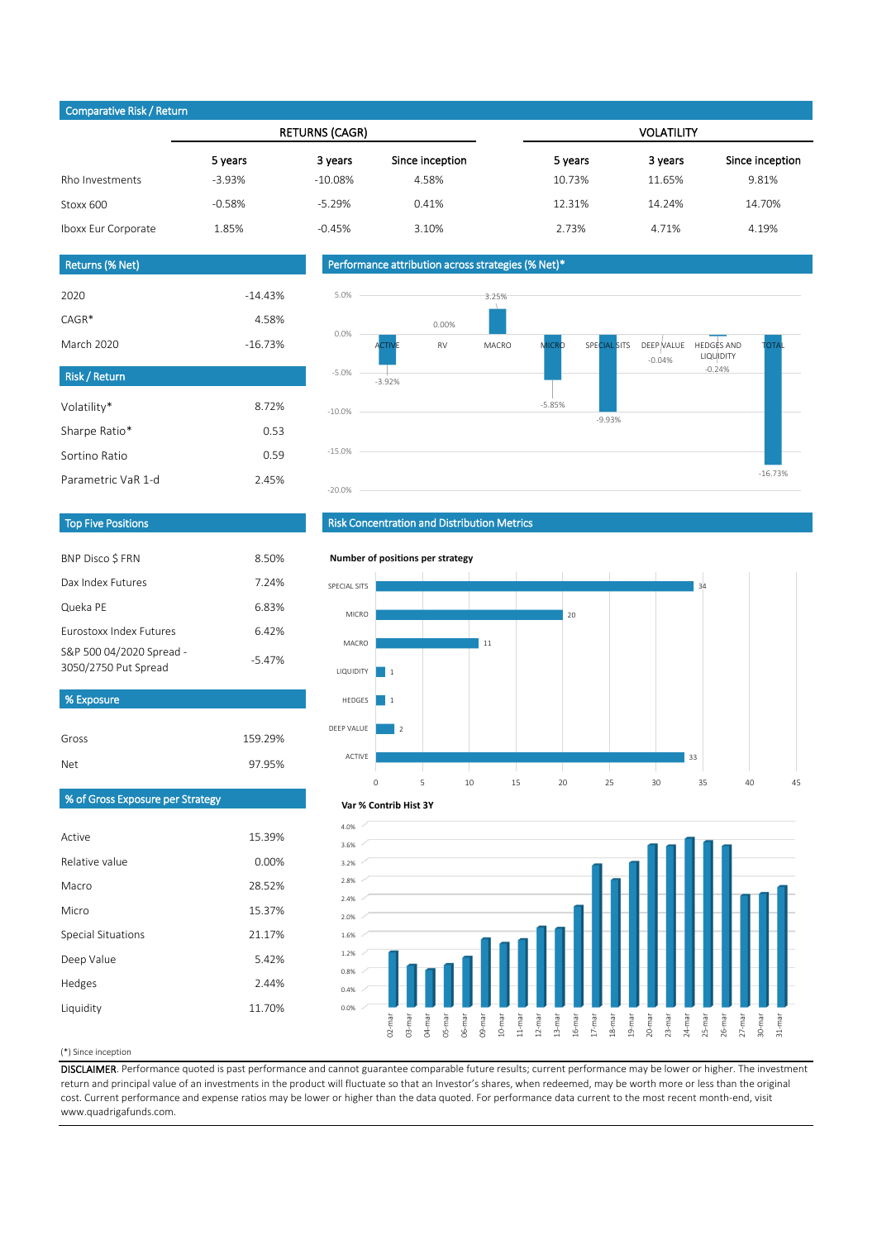## Comparative Risk / Return

|                     |          | <b>RETURNS (CAGR)</b> |                 | <b>VOLATILITY</b> |         |                 |  |
|---------------------|----------|-----------------------|-----------------|-------------------|---------|-----------------|--|
|                     | 5 years  | 3 years               | Since inception | 5 years           | 3 years | Since inception |  |
| Rho Investments     | $-3.93%$ | $-10.08\%$            | 4.58%           | 10.73%            | 11.65%  | 9.81%           |  |
| Stoxx 600           | $-0.58%$ | $-5.29%$              | 0.41%           | 12.31%            | 14.24%  | 14.70%          |  |
| Iboxx Eur Corporate | 1.85%    | $-0.45%$              | 3.10%           | 2.73%             | 4.71%   | 4.19%           |  |
|                     |          |                       |                 |                   |         |                 |  |

### Returns (% Net)

| <b>Risk / Return</b> |           |
|----------------------|-----------|
| March 2020           | $-16.73%$ |
| $CAGR*$              | 4.58%     |
| 2020                 | $-14.43%$ |
|                      |           |

| Volatility*        | 8.72% |
|--------------------|-------|
| Sharpe Ratio*      | 0.53  |
| Sortino Ratio      | O 59  |
| Parametric VaR 1-d | 245%  |

## Performance attribution across strategies (% Net)\*



### Top Five Positions

| <b>BNP Disco S FRN</b>                           | 8.50%    |
|--------------------------------------------------|----------|
| Dax Index Futures                                | 7.24%    |
| Queka PE                                         | 6.83%    |
| <b>Eurostoxy Index Eutures</b>                   | 6.42%    |
| S&P 500 04/2020 Spread -<br>3050/2750 Put Spread | $-5.47%$ |
| % Exposure                                       |          |

Gross 159.29%

97.95%

## Risk Concentration and Distribution Metrics



## % of Gross Exposure per Strategy

Net

| Active             | 15.39% |
|--------------------|--------|
| Relative value     | 0.00%  |
| Macro              | 28.52% |
| Micro              | 15.37% |
| Special Situations | 21.17% |
| Deep Value         | 5.42%  |
| Hedges             | 2.44%  |
| Liquidity          | 11.70% |



#### (\*) Since inception

DISCLAIMER. Performance quoted is past performance and cannot guarantee comparable future results; current performance may be lower or higher. The investment return and principal value of an investments in the product will fluctuate so that an Investor's shares, when redeemed, may be worth more or less than the original cost. Current performance and expense ratios may be lower or higher than the data quoted. For performance data current to the most recent month-end, visit www.quadrigafunds.com.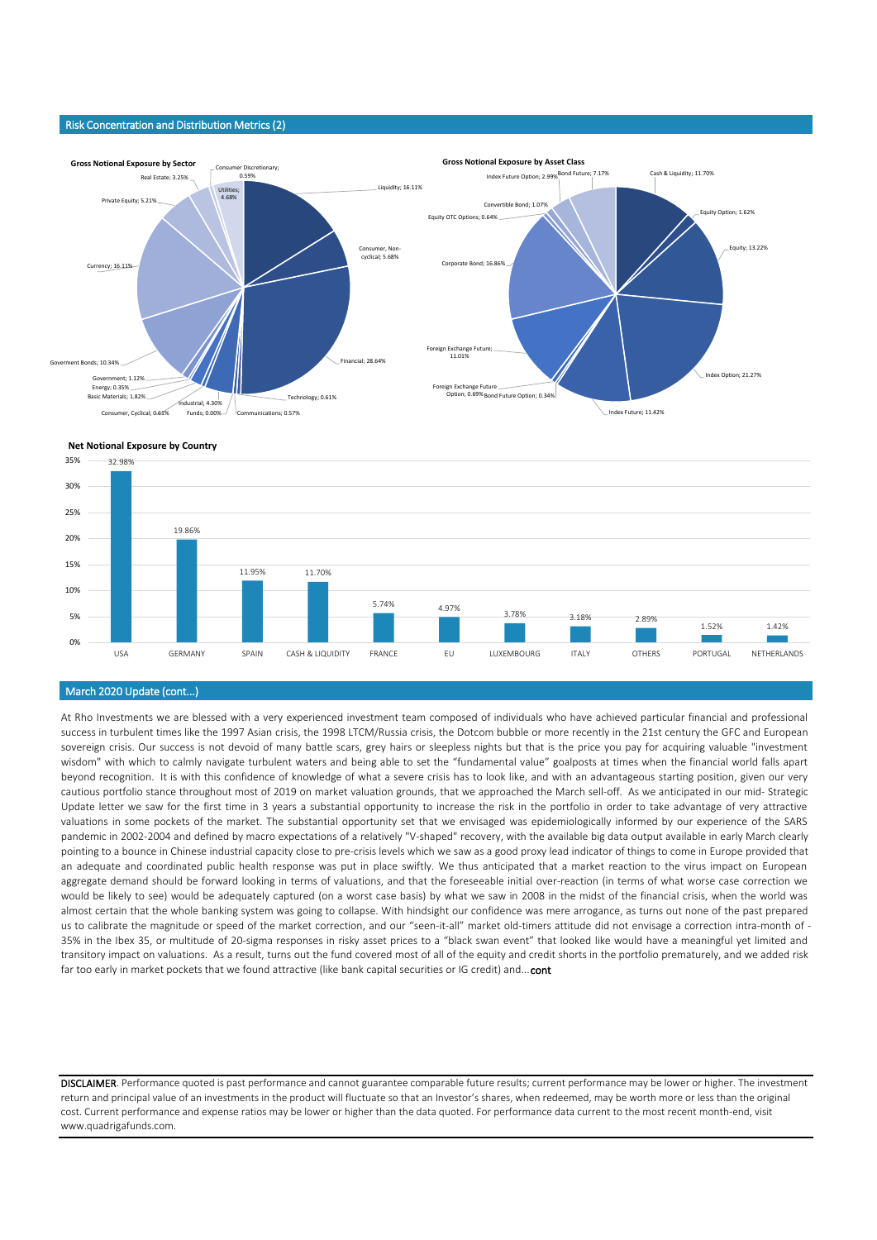#### Risk Concentration and Distribution Metrics (2)



#### **Net Notional Exposure by Country**



#### March 2020 Update (cont...)

At Rho Investments we are blessed with a very experienced investment team composed of individuals who have achieved particular financial and professional success in turbulent times like the 1997 Asian crisis, the 1998 LTCM/Russia crisis, the Dotcom bubble or more recently in the 21st century the GFC and European sovereign crisis. Our success is not devoid of many battle scars, grey hairs or sleepless nights but that is the price you pay for acquiring valuable "investment wisdom" with which to calmly navigate turbulent waters and being able to set the "fundamental value" goalposts at times when the financial world falls apart beyond recognition. It is with this confidence of knowledge of what a severe crisis has to look like, and with an advantageous starting position, given our very cautious portfolio stance throughout most of 2019 on market valuation grounds, that we approached the March sell-off. As we anticipated in our mid- Strategic Update letter we saw for the first time in 3 years a substantial opportunity to increase the risk in the portfolio in order to take advantage of very attractive valuations in some pockets of the market. The substantial opportunity set that we envisaged was epidemiologically informed by our experience of the SARS pandemic in 2002-2004 and defined by macro expectations of a relatively "V-shaped" recovery, with the available big data output available in early March clearly pointing to a bounce in Chinese industrial capacity close to pre-crisis levels which we saw as a good proxy lead indicator of things to come in Europe provided that an adequate and coordinated public health response was put in place swiftly. We thus anticipated that a market reaction to the virus impact on European aggregate demand should be forward looking in terms of valuations, and that the foreseeable initial over-reaction (in terms of what worse case correction we would be likely to see) would be adequately captured (on a worst case basis) by what we saw in 2008 in the midst of the financial crisis, when the world was almost certain that the whole banking system was going to collapse. With hindsight our confidence was mere arrogance, as turns out none of the past prepared us to calibrate the magnitude or speed of the market correction, and our "seen-it-all" market old-timers attitude did not envisage a correction intra-month of - 35% in the Ibex 35, or multitude of 20-sigma responses in risky asset prices to a "black swan event" that looked like would have a meaningful yet limited and transitory impact on valuations. As a result, turns out the fund covered most of all of the equity and credit shorts in the portfolio prematurely, and we added risk far too early in market pockets that we found attractive (like bank capital securities or IG credit) and... cont

DISCLAIMER. Performance quoted is past performance and cannot guarantee comparable future results; current performance may be lower or higher. The investment return and principal value of an investments in the product will fluctuate so that an Investor's shares, when redeemed, may be worth more or less than the original cost. Current performance and expense ratios may be lower or higher than the data quoted. For performance data current to the most recent month-end, visit www.quadrigafunds.com.